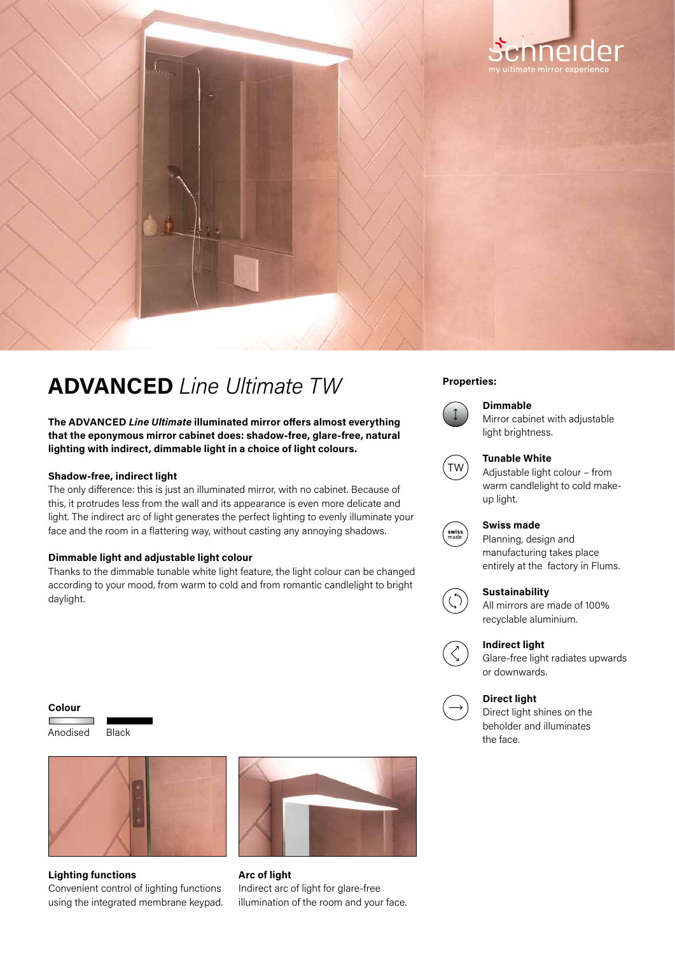

# **Properties: ADVANCED** *Line Ultimate TW*

**The ADVANCED** *Line Ultimate* **illuminated mirror offers almost everything that the eponymous mirror cabinet does: shadow-free, glare-free, natural lighting with indirect, dimmable light in a choice of light colours.**

#### **Shadow-free, indirect light**

The only difference: this is just an illuminated mirror, with no cabinet. Because of this, it protrudes less from the wall and its appearance is even more delicate and light. The indirect arc of light generates the perfect lighting to evenly illuminate your face and the room in a flattering way, without casting any annoying shadows.

#### **Dimmable light and adjustable light colour**

Thanks to the dimmable tunable white light feature, the light colour can be changed according to your mood, from warm to cold and from romantic candlelight to bright daylight.

#### **Colour**

г Anodised Black





## **Lighting functions**

Convenient control of lighting functions using the integrated membrane keypad.



**Arc of light**  Indirect arc of light for glare-free illumination of the room and your face.



### **Dimmable**

Mirror cabinet with adjustable light brightness.



#### **Tunable White**

Adjustable light colour – from warm candlelight to cold makeup light.



## **Swiss made**

Planning, design and manufacturing takes place entirely at the factory in Flums.

### **Sustainability**



All mirrors are made of 100% recyclable aluminium.



Glare-free light radiates upwards or downwards.

### **Direct light**

Direct light shines on the beholder and illuminates the face.